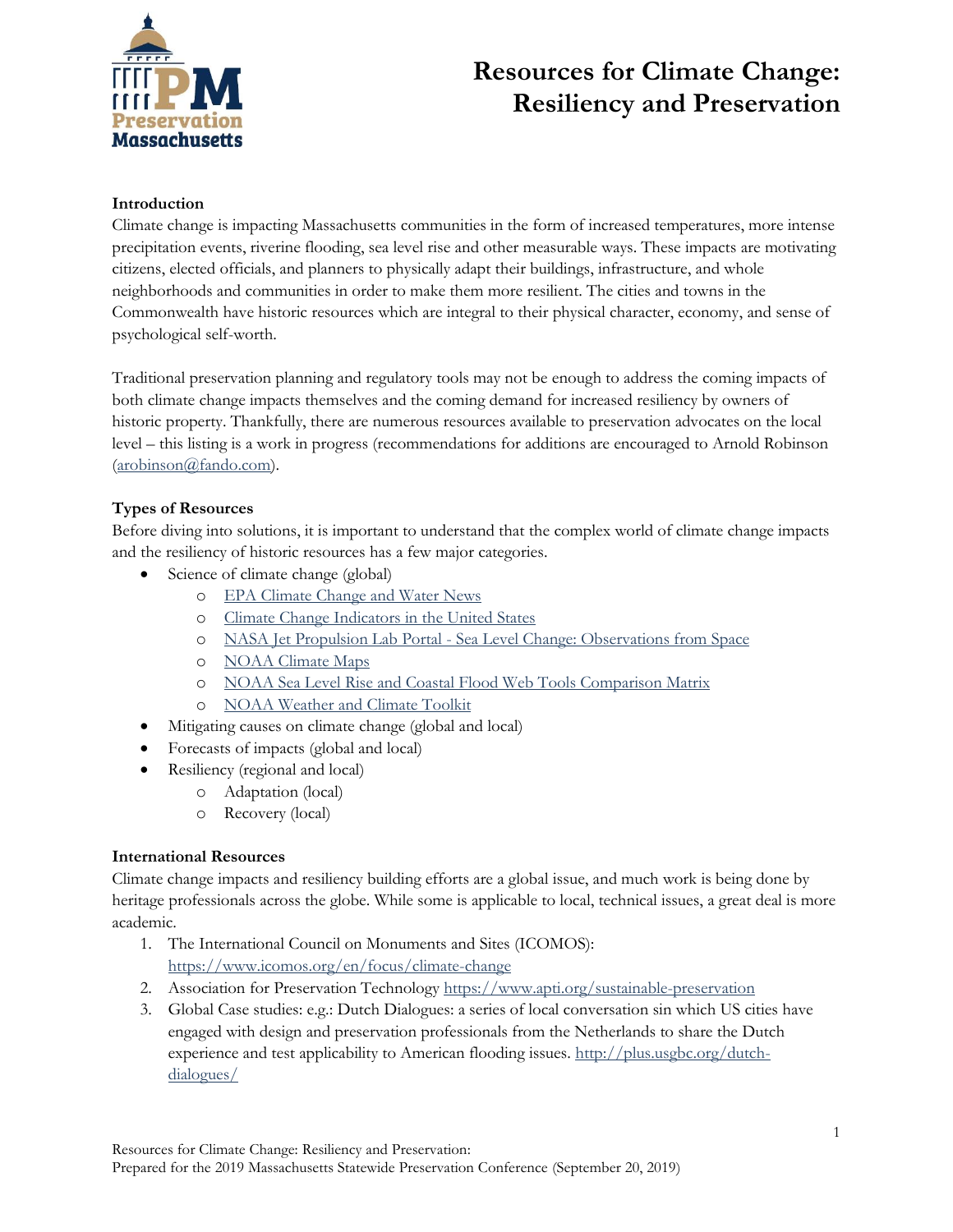

### **Introduction**

Climate change is impacting Massachusetts communities in the form of increased temperatures, more intense precipitation events, riverine flooding, sea level rise and other measurable ways. These impacts are motivating citizens, elected officials, and planners to physically adapt their buildings, infrastructure, and whole neighborhoods and communities in order to make them more resilient. The cities and towns in the Commonwealth have historic resources which are integral to their physical character, economy, and sense of psychological self-worth.

Traditional preservation planning and regulatory tools may not be enough to address the coming impacts of both climate change impacts themselves and the coming demand for increased resiliency by owners of historic property. Thankfully, there are numerous resources available to preservation advocates on the local level – this listing is a work in progress (recommendations for additions are encouraged to Arnold Robinson [\(arobinson@fando.com\)](mailto:arobinson@fando.com).

### **Types of Resources**

Before diving into solutions, it is important to understand that the complex world of climate change impacts and the resiliency of historic resources has a few major categories.

- Science of climate change (global)
	- o [EPA Climate Change and Water News](https://www.epa.gov/climate-change-water-sector/climate-change-and-water-news?platform=hootsuite)
	- o [Climate Change Indicators in the United States](https://www.epa.gov/climate-indicators)
	- o NASA Jet Propulsion Lab Portal [Sea Level Change: Observations from Space](https://sealevel.nasa.gov/)
	- o [NOAA Climate Maps](https://www.climate.gov/maps-data)
	- o [NOAA Sea Level Rise and Coastal Flood Web Tools Comparison Matrix](http://sealevel.climatecentral.org/matrix/)
	- o [NOAA Weather and Climate Toolkit](http://www.ncdc.noaa.gov/wct/)
- Mitigating causes on climate change (global and local)
- Forecasts of impacts (global and local)
- Resiliency (regional and local)
	- o Adaptation (local)
	- o Recovery (local)

#### **International Resources**

Climate change impacts and resiliency building efforts are a global issue, and much work is being done by heritage professionals across the globe. While some is applicable to local, technical issues, a great deal is more academic.

- 1. The International Council on Monuments and Sites (ICOMOS): <https://www.icomos.org/en/focus/climate-change>
- 2. Association for Preservation Technology <https://www.apti.org/sustainable-preservation>
- 3. Global Case studies: e.g.: Dutch Dialogues: a series of local conversation sin which US cities have engaged with design and preservation professionals from the Netherlands to share the Dutch experience and test applicability to American flooding issues. [http://plus.usgbc.org/dutch](http://plus.usgbc.org/dutch-dialogues/)[dialogues/](http://plus.usgbc.org/dutch-dialogues/)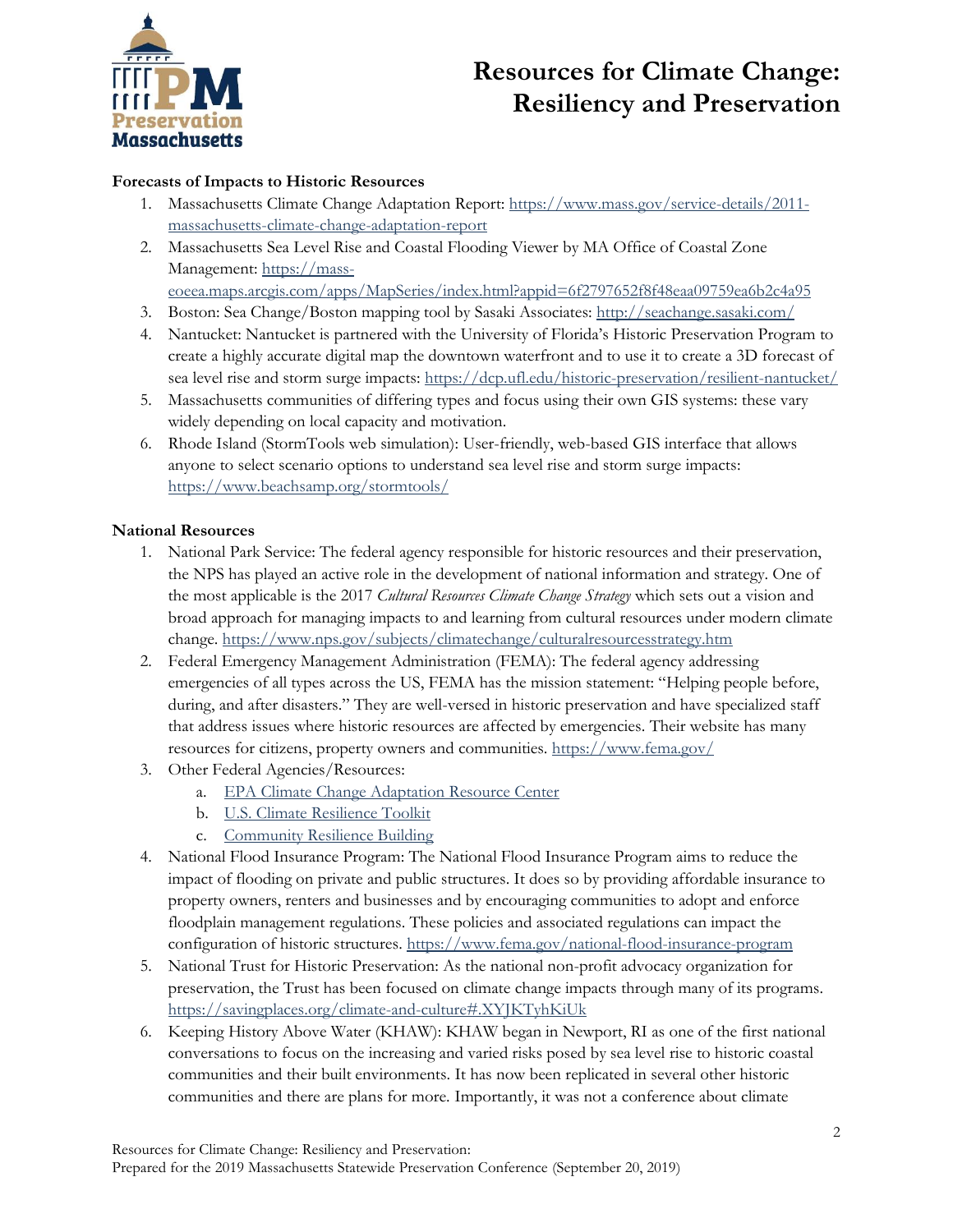

### **Forecasts of Impacts to Historic Resources**

- 1. Massachusetts Climate Change Adaptation Report: [https://www.mass.gov/service-details/2011](https://www.mass.gov/service-details/2011-massachusetts-climate-change-adaptation-report) [massachusetts-climate-change-adaptation-report](https://www.mass.gov/service-details/2011-massachusetts-climate-change-adaptation-report)
- 2. Massachusetts Sea Level Rise and Coastal Flooding Viewer by MA Office of Coastal Zone Management: [https://mass-](https://mass-eoeea.maps.arcgis.com/apps/MapSeries/index.html?appid=6f2797652f8f48eaa09759ea6b2c4a95)

[eoeea.maps.arcgis.com/apps/MapSeries/index.html?appid=6f2797652f8f48eaa09759ea6b2c4a95](https://mass-eoeea.maps.arcgis.com/apps/MapSeries/index.html?appid=6f2797652f8f48eaa09759ea6b2c4a95)

- 3. Boston: Sea Change/Boston mapping tool by Sasaki Associates:<http://seachange.sasaki.com/>
- 4. Nantucket: Nantucket is partnered with the University of Florida's Historic Preservation Program to create a highly accurate digital map the downtown waterfront and to use it to create a 3D forecast of sea level rise and storm surge impacts: <https://dcp.ufl.edu/historic-preservation/resilient-nantucket/>
- 5. Massachusetts communities of differing types and focus using their own GIS systems: these vary widely depending on local capacity and motivation.
- 6. Rhode Island (StormTools web simulation): User-friendly, web-based GIS interface that allows anyone to select scenario options to understand sea level rise and storm surge impacts: <https://www.beachsamp.org/stormtools/>

### **National Resources**

- 1. National Park Service: The federal agency responsible for historic resources and their preservation, the NPS has played an active role in the development of national information and strategy. One of the most applicable is the 2017 *Cultural Resources Climate Change Strategy* which sets out a vision and broad approach for managing impacts to and learning from cultural resources under modern climate change. <https://www.nps.gov/subjects/climatechange/culturalresourcesstrategy.htm>
- 2. Federal Emergency Management Administration (FEMA): The federal agency addressing emergencies of all types across the US, FEMA has the mission statement: "Helping people before, during, and after disasters." They are well-versed in historic preservation and have specialized staff that address issues where historic resources are affected by emergencies. Their website has many resources for citizens, property owners and communities.<https://www.fema.gov/>
- 3. Other Federal Agencies/Resources:
	- a. [EPA Climate Change Adaptation Resource Center](https://www.epa.gov/arc-x)
	- b. [U.S. Climate Resilience Toolkit](https://toolkit.climate.gov/)
	- c. [Community Resilience Building](http://www.communityresiliencebuilding.com/?dm_i=2GI3%2cQPH7%2c4QRPJT%2c1TG4J%2c1)
- 4. National Flood Insurance Program: The National Flood Insurance Program aims to reduce the impact of flooding on private and public structures. It does so by providing affordable insurance to property owners, renters and businesses and by encouraging communities to adopt and enforce floodplain management regulations. These policies and associated regulations can impact the configuration of historic structures.<https://www.fema.gov/national-flood-insurance-program>
- 5. National Trust for Historic Preservation: As the national non-profit advocacy organization for preservation, the Trust has been focused on climate change impacts through many of its programs. <https://savingplaces.org/climate-and-culture#.XYJKTyhKiUk>
- 6. Keeping History Above Water (KHAW): KHAW began in Newport, RI as one of the first national conversations to focus on the increasing and varied risks posed by sea level rise to historic coastal communities and their built environments. It has now been replicated in several other historic communities and there are plans for more. Importantly, it was not a conference about climate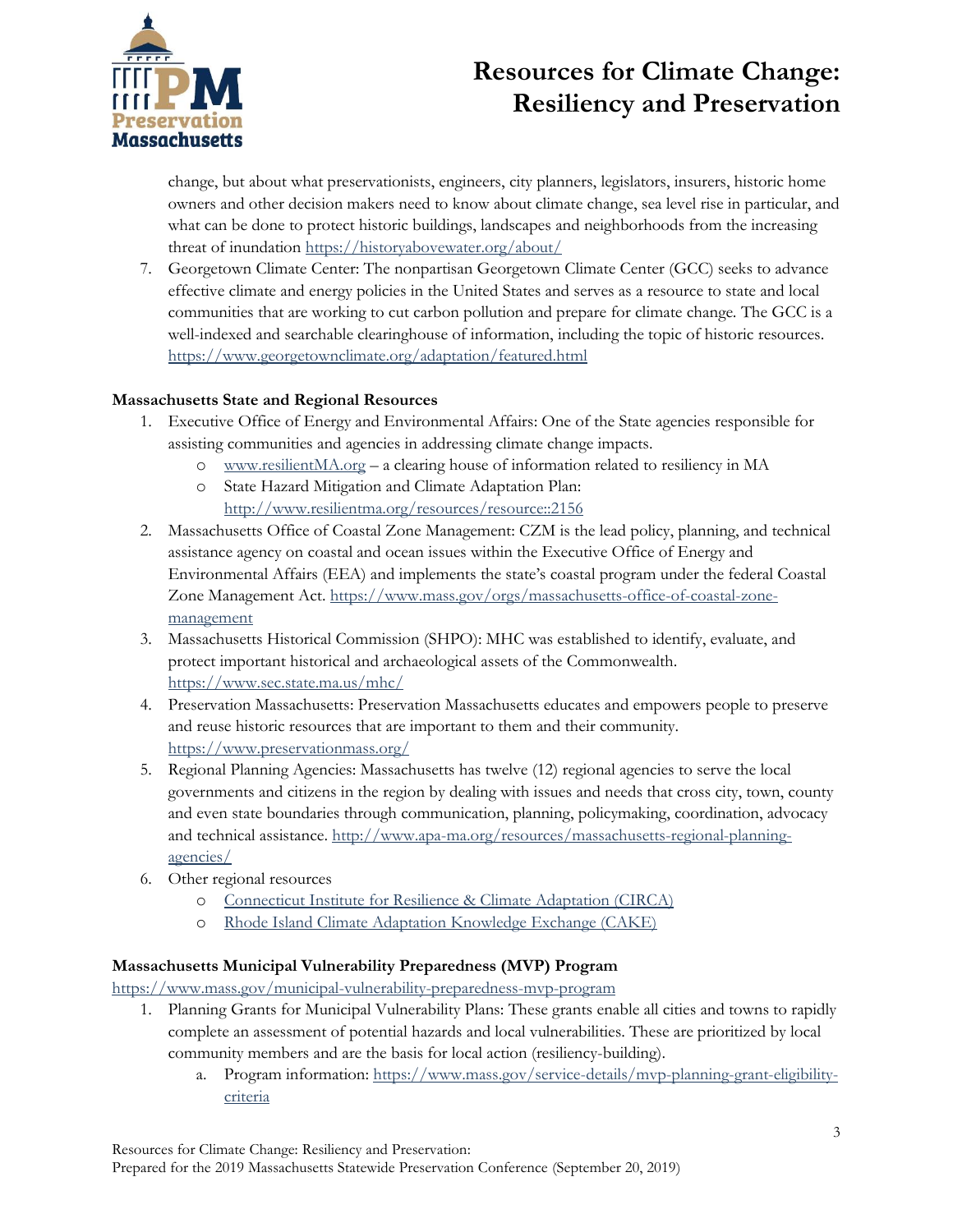

change, but about what preservationists, engineers, city planners, legislators, insurers, historic home owners and other decision makers need to know about climate change, sea level rise in particular, and what can be done to protect historic buildings, landscapes and neighborhoods from the increasing threat of inundation <https://historyabovewater.org/about/>

7. Georgetown Climate Center: The nonpartisan Georgetown Climate Center (GCC) seeks to advance effective climate and energy policies in the United States and serves as a resource to state and local communities that are working to cut carbon pollution and prepare for climate change. The GCC is a well-indexed and searchable clearinghouse of information, including the topic of historic resources. <https://www.georgetownclimate.org/adaptation/featured.html>

### **Massachusetts State and Regional Resources**

- 1. Executive Office of Energy and Environmental Affairs: One of the State agencies responsible for assisting communities and agencies in addressing climate change impacts.
	- o [www.resilientMA.org](http://www.resilientma.org/) a clearing house of information related to resiliency in MA
	- o State Hazard Mitigation and Climate Adaptation Plan: <http://www.resilientma.org/resources/resource::2156>
- 2. Massachusetts Office of Coastal Zone Management: CZM is the lead policy, planning, and technical assistance agency on coastal and ocean issues within the Executive Office of Energy and Environmental Affairs (EEA) and implements the state's coastal program under the federal Coastal Zone Management Act. [https://www.mass.gov/orgs/massachusetts-office-of-coastal-zone](https://www.mass.gov/orgs/massachusetts-office-of-coastal-zone-management)[management](https://www.mass.gov/orgs/massachusetts-office-of-coastal-zone-management)
- 3. Massachusetts Historical Commission (SHPO): MHC was established to identify, evaluate, and protect important historical and archaeological assets of the Commonwealth. <https://www.sec.state.ma.us/mhc/>
- 4. Preservation Massachusetts: Preservation Massachusetts educates and empowers people to preserve and reuse historic resources that are important to them and their community. <https://www.preservationmass.org/>
- 5. Regional Planning Agencies: Massachusetts has twelve (12) regional agencies to serve the local governments and citizens in the region by dealing with issues and needs that cross city, town, county and even state boundaries through communication, planning, policymaking, coordination, advocacy and technical assistance. [http://www.apa-ma.org/resources/massachusetts-regional-planning](http://www.apa-ma.org/resources/massachusetts-regional-planning-agencies/)[agencies/](http://www.apa-ma.org/resources/massachusetts-regional-planning-agencies/)
- 6. Other regional resources
	- o [Connecticut Institute for Resilience & Climate Adaptation \(CIRCA\)](http://circa.uconn.edu/)
	- o [Rhode Island Climate Adaptation Knowledge Exchange \(CAKE\)](http://www.cakex.org/tools/stormtools?utm_source=December+2016+Slice+of+CAKE&utm_campaign=December+2016+Slice&utm_medium=email)

#### **Massachusetts Municipal Vulnerability Preparedness (MVP) Program**

<https://www.mass.gov/municipal-vulnerability-preparedness-mvp-program>

- 1. Planning Grants for Municipal Vulnerability Plans: These grants enable all cities and towns to rapidly complete an assessment of potential hazards and local vulnerabilities. These are prioritized by local community members and are the basis for local action (resiliency-building).
	- a. Program information: [https://www.mass.gov/service-details/mvp-planning-grant-eligibility](https://www.mass.gov/service-details/mvp-planning-grant-eligibility-criteria)[criteria](https://www.mass.gov/service-details/mvp-planning-grant-eligibility-criteria)